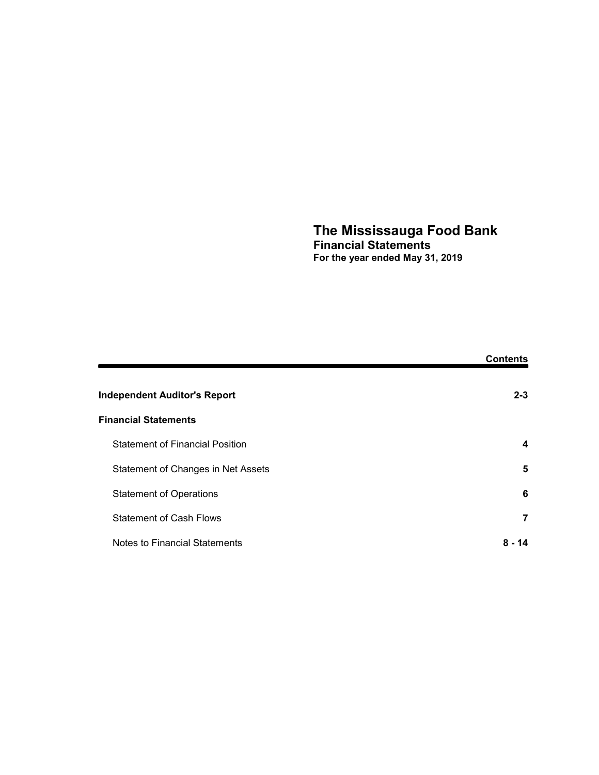### The Mississauga Food Bank Financial Statements For the year ended May 31, 2019

|                                        | <b>Contents</b> |
|----------------------------------------|-----------------|
| <b>Independent Auditor's Report</b>    | $2 - 3$         |
| <b>Financial Statements</b>            |                 |
| <b>Statement of Financial Position</b> | 4               |
| Statement of Changes in Net Assets     | 5               |
| <b>Statement of Operations</b>         | 6               |
| <b>Statement of Cash Flows</b>         | 7               |
| Notes to Financial Statements          | - 14<br>8       |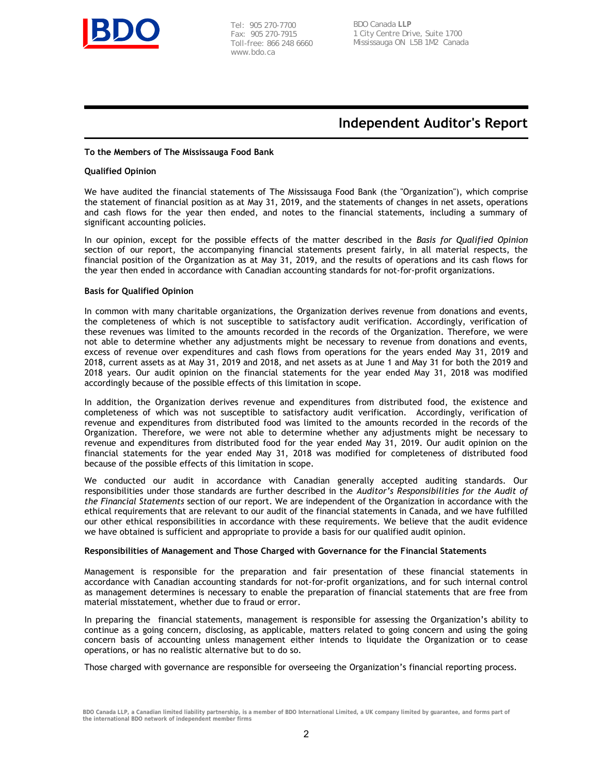

Tel: 905 270-7700 Fax: 905 270-7915 Toll-free: 866 248 6660 www.bdo.ca

BDO Canada **LLP** 1 City Centre Drive, Suite 1700 Mississauga ON L5B 1M2 Canada

## Independent Auditor's Report

#### To the Members of The Mississauga Food Bank

#### Qualified Opinion

We have audited the financial statements of The Mississauga Food Bank (the "Organization"), which comprise the statement of financial position as at May 31, 2019, and the statements of changes in net assets, operations and cash flows for the year then ended, and notes to the financial statements, including a summary of significant accounting policies.

In our opinion, except for the possible effects of the matter described in the Basis for Qualified Opinion section of our report, the accompanying financial statements present fairly, in all material respects, the financial position of the Organization as at May 31, 2019, and the results of operations and its cash flows for the year then ended in accordance with Canadian accounting standards for not-for-profit organizations.

#### Basis for Qualified Opinion

In common with many charitable organizations, the Organization derives revenue from donations and events, the completeness of which is not susceptible to satisfactory audit verification. Accordingly, verification of these revenues was limited to the amounts recorded in the records of the Organization. Therefore, we were not able to determine whether any adjustments might be necessary to revenue from donations and events, excess of revenue over expenditures and cash flows from operations for the years ended May 31, 2019 and 2018, current assets as at May 31, 2019 and 2018, and net assets as at June 1 and May 31 for both the 2019 and 2018 years. Our audit opinion on the financial statements for the year ended May 31, 2018 was modified accordingly because of the possible effects of this limitation in scope.

In addition, the Organization derives revenue and expenditures from distributed food, the existence and completeness of which was not susceptible to satisfactory audit verification. Accordingly, verification of revenue and expenditures from distributed food was limited to the amounts recorded in the records of the Organization. Therefore, we were not able to determine whether any adjustments might be necessary to revenue and expenditures from distributed food for the year ended May 31, 2019. Our audit opinion on the financial statements for the year ended May 31, 2018 was modified for completeness of distributed food because of the possible effects of this limitation in scope.

We conducted our audit in accordance with Canadian generally accepted auditing standards. Our responsibilities under those standards are further described in the Auditor's Responsibilities for the Audit of the Financial Statements section of our report. We are independent of the Organization in accordance with the ethical requirements that are relevant to our audit of the financial statements in Canada, and we have fulfilled our other ethical responsibilities in accordance with these requirements. We believe that the audit evidence we have obtained is sufficient and appropriate to provide a basis for our qualified audit opinion.

#### Responsibilities of Management and Those Charged with Governance for the Financial Statements

Management is responsible for the preparation and fair presentation of these financial statements in accordance with Canadian accounting standards for not-for-profit organizations, and for such internal control as management determines is necessary to enable the preparation of financial statements that are free from material misstatement, whether due to fraud or error.

In preparing the financial statements, management is responsible for assessing the Organization's ability to continue as a going concern, disclosing, as applicable, matters related to going concern and using the going concern basis of accounting unless management either intends to liquidate the Organization or to cease operations, or has no realistic alternative but to do so.

Those charged with governance are responsible for overseeing the Organization's financial reporting process.

**BDO Canada LLP, a Canadian limited liability partnership, is a member of BDO International Limited, a UK company limited by guarantee, and forms part of the international BDO network of independent member firms**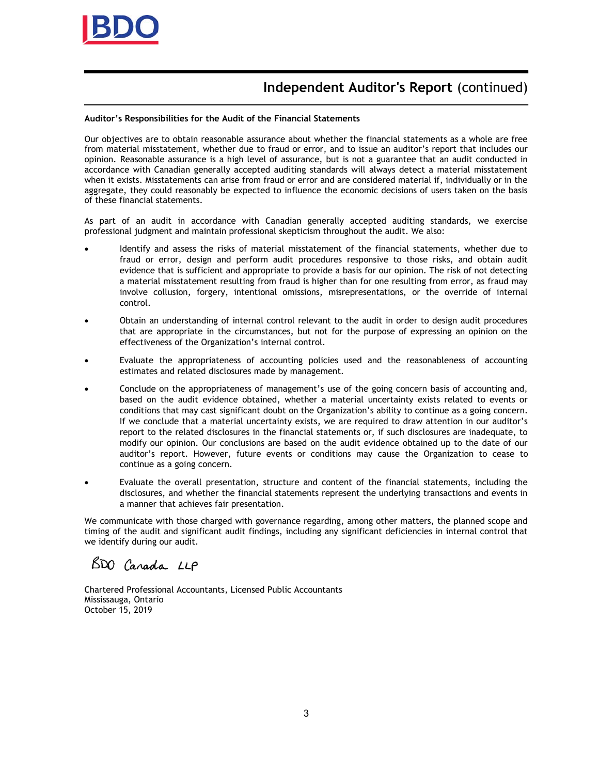

# Independent Auditor's Report (continued)

#### Auditor's Responsibilities for the Audit of the Financial Statements

Our objectives are to obtain reasonable assurance about whether the financial statements as a whole are free from material misstatement, whether due to fraud or error, and to issue an auditor's report that includes our opinion. Reasonable assurance is a high level of assurance, but is not a guarantee that an audit conducted in accordance with Canadian generally accepted auditing standards will always detect a material misstatement when it exists. Misstatements can arise from fraud or error and are considered material if, individually or in the aggregate, they could reasonably be expected to influence the economic decisions of users taken on the basis of these financial statements.

As part of an audit in accordance with Canadian generally accepted auditing standards, we exercise professional judgment and maintain professional skepticism throughout the audit. We also:

- Identify and assess the risks of material misstatement of the financial statements, whether due to fraud or error, design and perform audit procedures responsive to those risks, and obtain audit evidence that is sufficient and appropriate to provide a basis for our opinion. The risk of not detecting a material misstatement resulting from fraud is higher than for one resulting from error, as fraud may involve collusion, forgery, intentional omissions, misrepresentations, or the override of internal control.
- Obtain an understanding of internal control relevant to the audit in order to design audit procedures that are appropriate in the circumstances, but not for the purpose of expressing an opinion on the effectiveness of the Organization's internal control.
- Evaluate the appropriateness of accounting policies used and the reasonableness of accounting estimates and related disclosures made by management.
- Conclude on the appropriateness of management's use of the going concern basis of accounting and, based on the audit evidence obtained, whether a material uncertainty exists related to events or conditions that may cast significant doubt on the Organization's ability to continue as a going concern. If we conclude that a material uncertainty exists, we are required to draw attention in our auditor's report to the related disclosures in the financial statements or, if such disclosures are inadequate, to modify our opinion. Our conclusions are based on the audit evidence obtained up to the date of our auditor's report. However, future events or conditions may cause the Organization to cease to continue as a going concern.
- Evaluate the overall presentation, structure and content of the financial statements, including the disclosures, and whether the financial statements represent the underlying transactions and events in a manner that achieves fair presentation.

We communicate with those charged with governance regarding, among other matters, the planned scope and timing of the audit and significant audit findings, including any significant deficiencies in internal control that we identify during our audit.

# BDO Carada LLP

Chartered Professional Accountants, Licensed Public Accountants Mississauga, Ontario October 15, 2019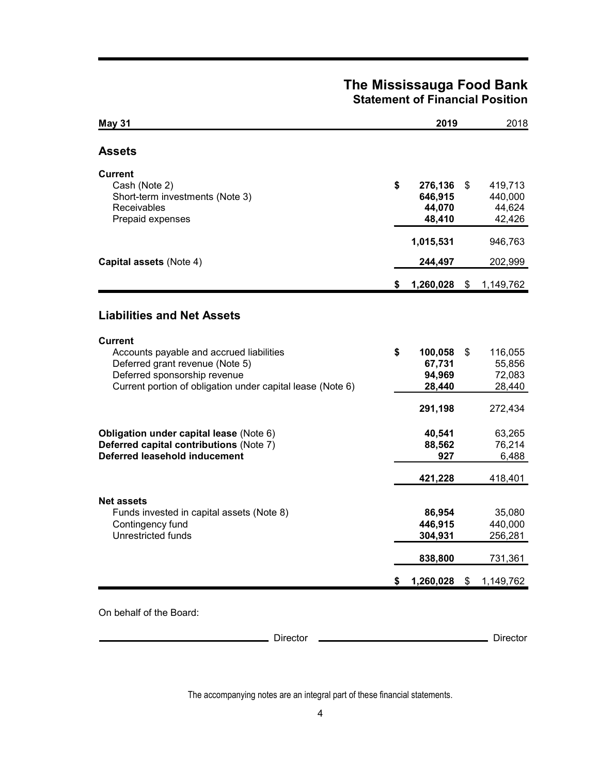# The Mississauga Food Bank Statement of Financial Position

| <b>May 31</b>                                                                                                                                                                               |    | 2019                                   | 2018                                         |
|---------------------------------------------------------------------------------------------------------------------------------------------------------------------------------------------|----|----------------------------------------|----------------------------------------------|
| <b>Assets</b>                                                                                                                                                                               |    |                                        |                                              |
| <b>Current</b><br>Cash (Note 2)<br>Short-term investments (Note 3)<br><b>Receivables</b><br>Prepaid expenses                                                                                | \$ | 276,136<br>646,915<br>44,070<br>48,410 | \$<br>419,713<br>440,000<br>44,624<br>42,426 |
| Capital assets (Note 4)                                                                                                                                                                     |    | 1,015,531<br>244,497                   | 946,763<br>202,999                           |
|                                                                                                                                                                                             | \$ | 1,260,028                              | \$<br>1,149,762                              |
| <b>Liabilities and Net Assets</b>                                                                                                                                                           |    |                                        |                                              |
| <b>Current</b><br>Accounts payable and accrued liabilities<br>Deferred grant revenue (Note 5)<br>Deferred sponsorship revenue<br>Current portion of obligation under capital lease (Note 6) | \$ | 100,058<br>67,731<br>94,969<br>28,440  | \$<br>116,055<br>55,856<br>72,083<br>28,440  |
| Obligation under capital lease (Note 6)<br>Deferred capital contributions (Note 7)<br><b>Deferred leasehold inducement</b>                                                                  |    | 291,198<br>40,541<br>88,562<br>927     | 272,434<br>63,265<br>76,214<br>6,488         |
| <b>Net assets</b>                                                                                                                                                                           |    | 421,228                                | 418,401                                      |
| Funds invested in capital assets (Note 8)<br>Contingency fund<br>Unrestricted funds                                                                                                         |    | 86,954<br>446,915<br>304,931           | 35,080<br>440,000<br>256,281                 |
|                                                                                                                                                                                             | S. | 838,800<br>1,260,028                   | \$<br>731,361<br>1,149,762                   |

On behalf of the Board:

**No. 2016** Director **Director Director Director**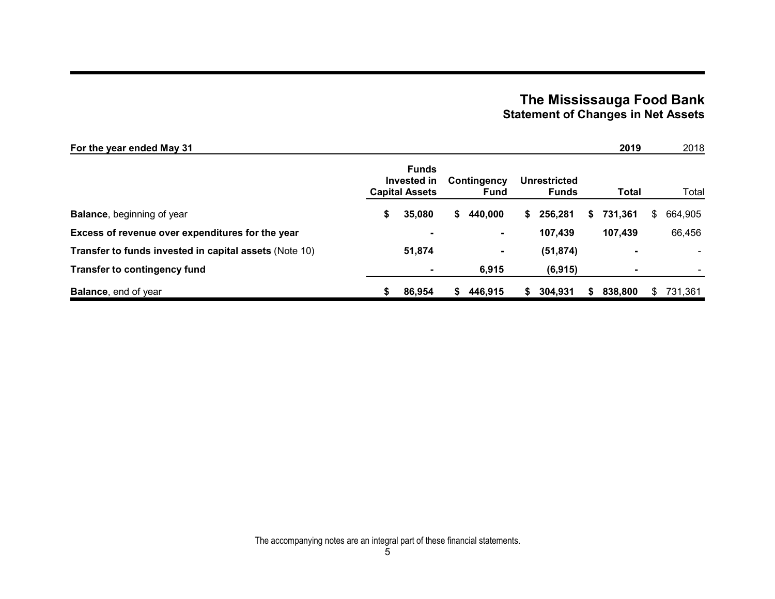# The Mississauga Food Bank Statement of Changes in Net Assets

| For the year ended May 31                              |                                                      |    |                            |    |                                     |    | 2019         |    | 2018    |
|--------------------------------------------------------|------------------------------------------------------|----|----------------------------|----|-------------------------------------|----|--------------|----|---------|
|                                                        | <b>Funds</b><br>Invested in<br><b>Capital Assets</b> |    | Contingency<br><b>Fund</b> |    | <b>Unrestricted</b><br><b>Funds</b> |    | <b>Total</b> |    | Total   |
| <b>Balance, beginning of year</b>                      | \$<br>35,080                                         | S. | 440.000                    |    | \$256,281                           | \$ | 731,361      | S. | 664,905 |
| Excess of revenue over expenditures for the year       | $\blacksquare$                                       |    | $\sim$                     |    | 107,439                             |    | 107,439      |    | 66,456  |
| Transfer to funds invested in capital assets (Note 10) | 51,874                                               |    | ۰.                         |    | (51, 874)                           |    |              |    |         |
| <b>Transfer to contingency fund</b>                    | $\blacksquare$                                       |    | 6,915                      |    | (6, 915)                            |    |              |    |         |
| <b>Balance, end of year</b>                            | 86,954                                               |    | 446.915                    | S. | 304,931                             | S. | 838,800      | S. | 731,361 |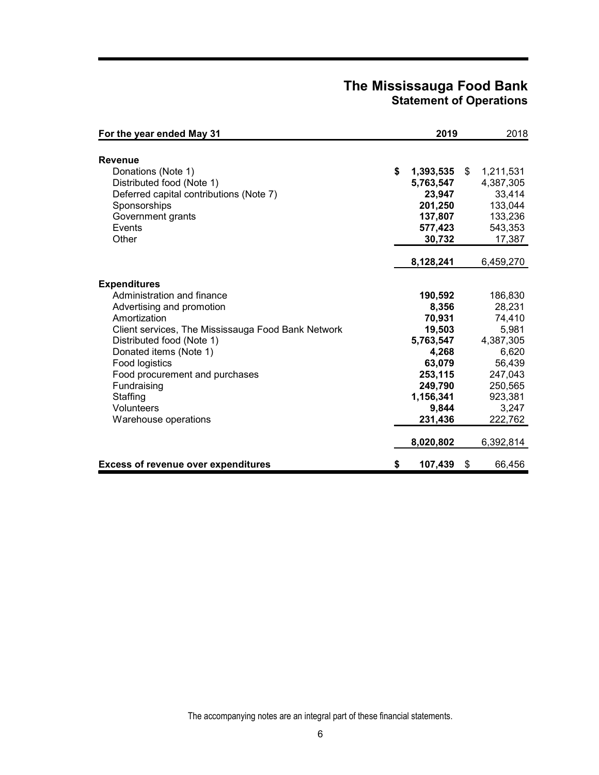### The Mississauga Food Bank Statement of Operations

| For the year ended May 31                                                                                                                                                                                                                                                                                                        | 2019                                                                                                                        | 2018                                                                                                                      |
|----------------------------------------------------------------------------------------------------------------------------------------------------------------------------------------------------------------------------------------------------------------------------------------------------------------------------------|-----------------------------------------------------------------------------------------------------------------------------|---------------------------------------------------------------------------------------------------------------------------|
| <b>Revenue</b><br>Donations (Note 1)<br>Distributed food (Note 1)<br>Deferred capital contributions (Note 7)<br>Sponsorships<br>Government grants<br>Events<br>Other                                                                                                                                                             | \$<br>1,393,535<br>5,763,547<br>23,947<br>201,250<br>137,807<br>577,423<br>30,732<br>8,128,241                              | \$<br>1,211,531<br>4,387,305<br>33,414<br>133,044<br>133,236<br>543,353<br>17,387<br>6,459,270                            |
| <b>Expenditures</b><br>Administration and finance<br>Advertising and promotion<br>Amortization<br>Client services, The Mississauga Food Bank Network<br>Distributed food (Note 1)<br>Donated items (Note 1)<br>Food logistics<br>Food procurement and purchases<br>Fundraising<br>Staffing<br>Volunteers<br>Warehouse operations | 190,592<br>8,356<br>70,931<br>19,503<br>5,763,547<br>4,268<br>63,079<br>253,115<br>249,790<br>1,156,341<br>9,844<br>231,436 | 186,830<br>28,231<br>74,410<br>5,981<br>4,387,305<br>6,620<br>56,439<br>247,043<br>250,565<br>923,381<br>3,247<br>222,762 |
| <b>Excess of revenue over expenditures</b>                                                                                                                                                                                                                                                                                       | \$<br>8,020,802<br>107,439                                                                                                  | \$<br>6,392,814<br>66,456                                                                                                 |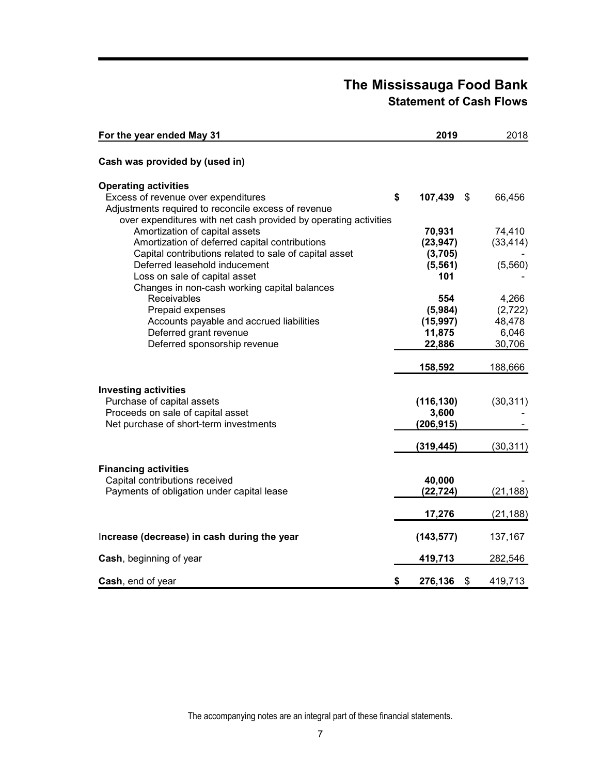# The Mississauga Food Bank Statement of Cash Flows

| For the year ended May 31                                                                          | 2019                | 2018             |
|----------------------------------------------------------------------------------------------------|---------------------|------------------|
| Cash was provided by (used in)                                                                     |                     |                  |
| <b>Operating activities</b>                                                                        |                     |                  |
| Excess of revenue over expenditures                                                                | \$<br>107,439<br>\$ | 66,456           |
| Adjustments required to reconcile excess of revenue                                                |                     |                  |
| over expenditures with net cash provided by operating activities<br>Amortization of capital assets | 70,931              | 74,410           |
| Amortization of deferred capital contributions                                                     | (23, 947)           | (33, 414)        |
| Capital contributions related to sale of capital asset                                             | (3,705)             |                  |
| Deferred leasehold inducement                                                                      | (5, 561)            | (5,560)          |
| Loss on sale of capital asset                                                                      | 101                 |                  |
| Changes in non-cash working capital balances                                                       |                     |                  |
| Receivables                                                                                        | 554<br>(5,984)      | 4,266<br>(2,722) |
| Prepaid expenses<br>Accounts payable and accrued liabilities                                       | (15, 997)           | 48,478           |
| Deferred grant revenue                                                                             | 11,875              | 6,046            |
| Deferred sponsorship revenue                                                                       | 22,886              | 30,706           |
|                                                                                                    | 158,592             | 188,666          |
| <b>Investing activities</b>                                                                        |                     |                  |
| Purchase of capital assets                                                                         | (116, 130)          | (30, 311)        |
| Proceeds on sale of capital asset                                                                  | 3,600               |                  |
| Net purchase of short-term investments                                                             | (206, 915)          |                  |
|                                                                                                    | (319, 445)          | (30, 311)        |
|                                                                                                    |                     |                  |
| <b>Financing activities</b>                                                                        |                     |                  |
| Capital contributions received<br>Payments of obligation under capital lease                       | 40,000              |                  |
|                                                                                                    | (22, 724)           | (21, 188)        |
|                                                                                                    | 17,276              | (21, 188)        |
| Increase (decrease) in cash during the year                                                        | (143, 577)          | 137,167          |
| Cash, beginning of year                                                                            | 419,713             | 282,546          |
| Cash, end of year                                                                                  | \$<br>276,136<br>\$ | 419,713          |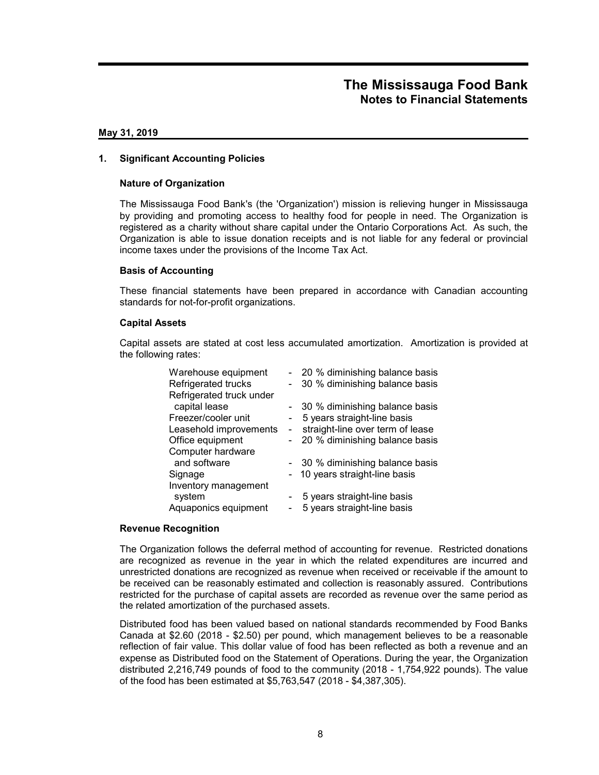### May 31, 2019

### 1. Significant Accounting Policies

### Nature of Organization

The Mississauga Food Bank's (the 'Organization') mission is relieving hunger in Mississauga by providing and promoting access to healthy food for people in need. The Organization is registered as a charity without share capital under the Ontario Corporations Act. As such, the Organization is able to issue donation receipts and is not liable for any federal or provincial income taxes under the provisions of the Income Tax Act.

#### Basis of Accounting

These financial statements have been prepared in accordance with Canadian accounting standards for not-for-profit organizations.

#### Capital Assets

Capital assets are stated at cost less accumulated amortization. Amortization is provided at the following rates:

| Warehouse equipment      |                | 20 % diminishing balance basis   |
|--------------------------|----------------|----------------------------------|
| Refrigerated trucks      |                | 30 % diminishing balance basis   |
| Refrigerated truck under |                |                                  |
| capital lease            |                | - 30 % diminishing balance basis |
| Freezer/cooler unit      |                | 5 years straight-line basis      |
| Leasehold improvements   | $\blacksquare$ | straight-line over term of lease |
| Office equipment         |                | 20 % diminishing balance basis   |
| Computer hardware        |                |                                  |
| and software             |                | - 30 % diminishing balance basis |
| Signage                  |                | 10 years straight-line basis     |
| Inventory management     |                |                                  |
| system                   |                | 5 years straight-line basis      |
| Aquaponics equipment     |                | 5 years straight-line basis      |

#### Revenue Recognition

The Organization follows the deferral method of accounting for revenue. Restricted donations are recognized as revenue in the year in which the related expenditures are incurred and unrestricted donations are recognized as revenue when received or receivable if the amount to be received can be reasonably estimated and collection is reasonably assured. Contributions restricted for the purchase of capital assets are recorded as revenue over the same period as the related amortization of the purchased assets.

Distributed food has been valued based on national standards recommended by Food Banks Canada at \$2.60 (2018 - \$2.50) per pound, which management believes to be a reasonable reflection of fair value. This dollar value of food has been reflected as both a revenue and an expense as Distributed food on the Statement of Operations. During the year, the Organization distributed 2,216,749 pounds of food to the community (2018 - 1,754,922 pounds). The value of the food has been estimated at \$5,763,547 (2018 - \$4,387,305).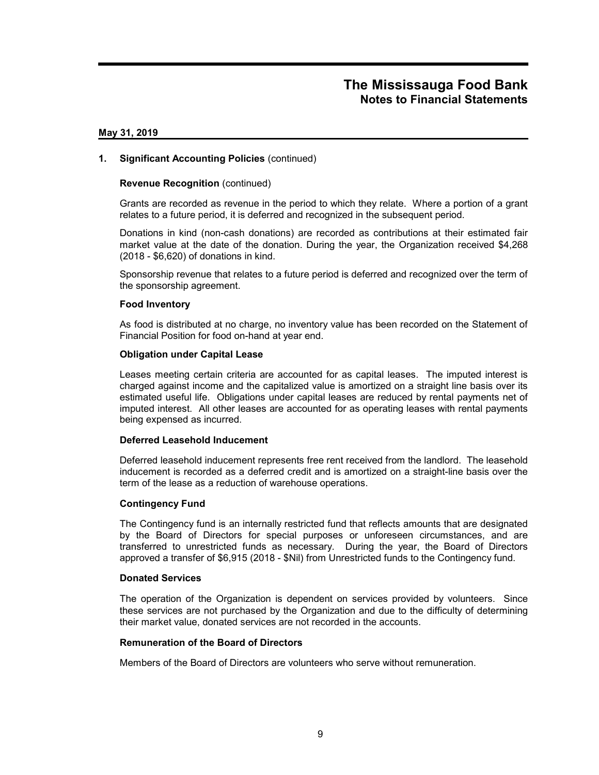### May 31, 2019

### 1. Significant Accounting Policies (continued)

### Revenue Recognition (continued)

Grants are recorded as revenue in the period to which they relate. Where a portion of a grant relates to a future period, it is deferred and recognized in the subsequent period.

Donations in kind (non-cash donations) are recorded as contributions at their estimated fair market value at the date of the donation. During the year, the Organization received \$4,268 (2018 - \$6,620) of donations in kind.

Sponsorship revenue that relates to a future period is deferred and recognized over the term of the sponsorship agreement.

#### Food Inventory

As food is distributed at no charge, no inventory value has been recorded on the Statement of Financial Position for food on-hand at year end.

### Obligation under Capital Lease

Leases meeting certain criteria are accounted for as capital leases. The imputed interest is charged against income and the capitalized value is amortized on a straight line basis over its estimated useful life. Obligations under capital leases are reduced by rental payments net of imputed interest. All other leases are accounted for as operating leases with rental payments being expensed as incurred.

#### Deferred Leasehold Inducement

Deferred leasehold inducement represents free rent received from the landlord. The leasehold inducement is recorded as a deferred credit and is amortized on a straight-line basis over the term of the lease as a reduction of warehouse operations.

#### Contingency Fund

The Contingency fund is an internally restricted fund that reflects amounts that are designated by the Board of Directors for special purposes or unforeseen circumstances, and are transferred to unrestricted funds as necessary. During the year, the Board of Directors approved a transfer of \$6,915 (2018 - \$Nil) from Unrestricted funds to the Contingency fund.

#### Donated Services

The operation of the Organization is dependent on services provided by volunteers. Since these services are not purchased by the Organization and due to the difficulty of determining their market value, donated services are not recorded in the accounts.

### Remuneration of the Board of Directors

Members of the Board of Directors are volunteers who serve without remuneration.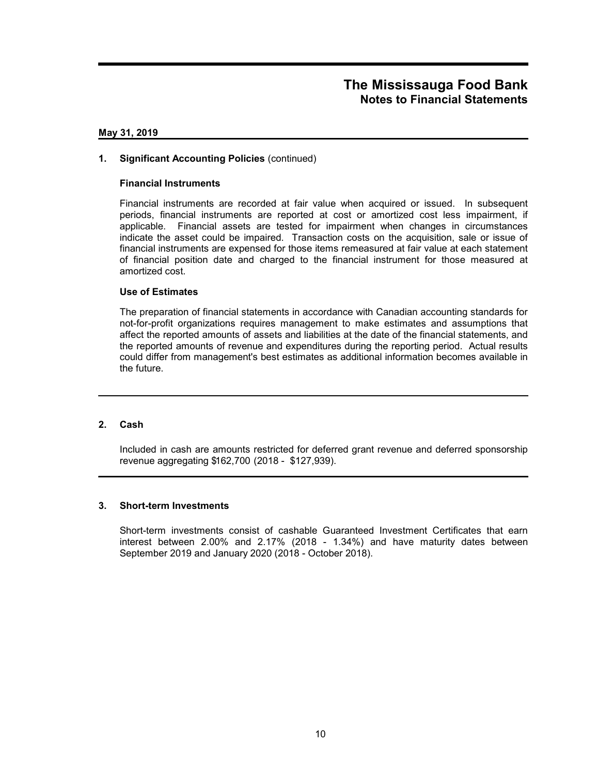### May 31, 2019

### 1. Significant Accounting Policies (continued)

### Financial Instruments

Financial instruments are recorded at fair value when acquired or issued. In subsequent periods, financial instruments are reported at cost or amortized cost less impairment, if applicable. Financial assets are tested for impairment when changes in circumstances indicate the asset could be impaired. Transaction costs on the acquisition, sale or issue of financial instruments are expensed for those items remeasured at fair value at each statement of financial position date and charged to the financial instrument for those measured at amortized cost.

### Use of Estimates

The preparation of financial statements in accordance with Canadian accounting standards for not-for-profit organizations requires management to make estimates and assumptions that affect the reported amounts of assets and liabilities at the date of the financial statements, and the reported amounts of revenue and expenditures during the reporting period. Actual results could differ from management's best estimates as additional information becomes available in the future.

### 2. Cash

Included in cash are amounts restricted for deferred grant revenue and deferred sponsorship revenue aggregating \$162,700 (2018 - \$127,939).

### 3. Short-term Investments

Short-term investments consist of cashable Guaranteed Investment Certificates that earn interest between 2.00% and 2.17% (2018 - 1.34%) and have maturity dates between September 2019 and January 2020 (2018 - October 2018).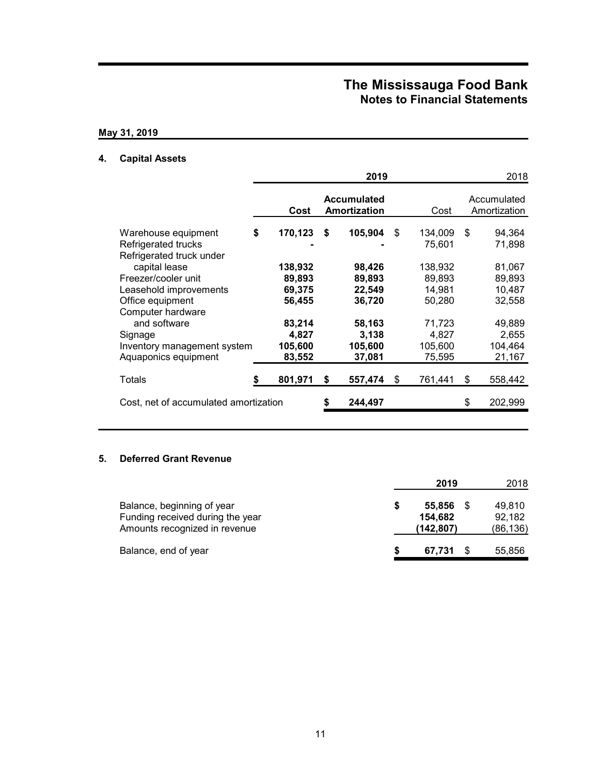### May 31, 2019

### 4. Capital Assets

|                                                                                                     |    |                                       | 2019                                 |                                       | 2018                                 |
|-----------------------------------------------------------------------------------------------------|----|---------------------------------------|--------------------------------------|---------------------------------------|--------------------------------------|
|                                                                                                     |    | Cost                                  | <b>Accumulated</b><br>Amortization   | Cost                                  | Accumulated<br>Amortization          |
| Warehouse equipment<br>Refrigerated trucks<br>Refrigerated truck under                              | \$ | 170,123                               | \$<br>105,904                        | \$<br>134,009<br>75,601               | \$<br>94,364<br>71,898               |
| capital lease<br>Freezer/cooler unit<br>Leasehold improvements<br>Office equipment                  |    | 138,932<br>89,893<br>69,375<br>56,455 | 98,426<br>89,893<br>22,549<br>36,720 | 138,932<br>89,893<br>14,981<br>50,280 | 81,067<br>89,893<br>10,487<br>32,558 |
| Computer hardware<br>and software<br>Signage<br>Inventory management system<br>Aquaponics equipment |    | 83,214<br>4,827<br>105,600<br>83,552  | 58,163<br>3,138<br>105,600<br>37,081 | 71,723<br>4,827<br>105,600<br>75,595  | 49,889<br>2,655<br>104,464<br>21,167 |
| Totals                                                                                              | S  | 801,971                               | \$<br>557,474                        | \$<br>761,441                         | \$<br>558,442                        |
| Cost, net of accumulated amortization                                                               |    |                                       | 244,497                              |                                       | \$<br>202,999                        |

### 5. Deferred Grant Revenue

|                                                                                                 |   | 2019                           | 2018                          |
|-------------------------------------------------------------------------------------------------|---|--------------------------------|-------------------------------|
| Balance, beginning of year<br>Funding received during the year<br>Amounts recognized in revenue | S | 55,856<br>154.682<br>(142,807) | 49.810<br>92,182<br>(86, 136) |
| Balance, end of year                                                                            | S | 67,731                         | 55,856                        |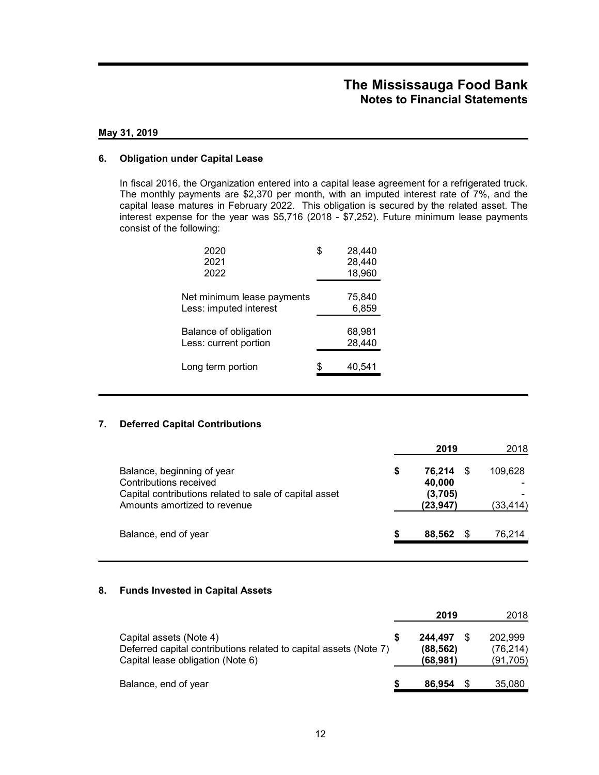### May 31, 2019

### 6. Obligation under Capital Lease

In fiscal 2016, the Organization entered into a capital lease agreement for a refrigerated truck. The monthly payments are \$2,370 per month, with an imputed interest rate of 7%, and the capital lease matures in February 2022. This obligation is secured by the related asset. The interest expense for the year was \$5,716 (2018 - \$7,252). Future minimum lease payments consist of the following:

| 2020                       | \$<br>28,440 |
|----------------------------|--------------|
| 2021                       | 28,440       |
| 2022                       | 18,960       |
|                            |              |
| Net minimum lease payments | 75,840       |
| Less: imputed interest     | 6,859        |
|                            |              |
| Balance of obligation      | 68,981       |
| Less: current portion      | 28,440       |
|                            |              |
| Long term portion          | \$<br>40,541 |
|                            |              |

### 7. Deferred Capital Contributions

|                                                                                                                                                |   | 2019                                    | 2018                |
|------------------------------------------------------------------------------------------------------------------------------------------------|---|-----------------------------------------|---------------------|
| Balance, beginning of year<br>Contributions received<br>Capital contributions related to sale of capital asset<br>Amounts amortized to revenue | S | 76.214<br>40,000<br>(3,705)<br>(23,947) | 109.628<br>(33,414) |
| Balance, end of year                                                                                                                           |   | 88,562                                  | 76.214              |

### 8. Funds Invested in Capital Assets

|                                                                                                                                   | 2019                             | 2018                              |
|-----------------------------------------------------------------------------------------------------------------------------------|----------------------------------|-----------------------------------|
| Capital assets (Note 4)<br>Deferred capital contributions related to capital assets (Note 7)<br>Capital lease obligation (Note 6) | 244.497<br>(88, 562)<br>(68,981) | 202.999<br>(76, 214)<br>(91, 705) |
| Balance, end of year                                                                                                              | 86.954                           | 35,080                            |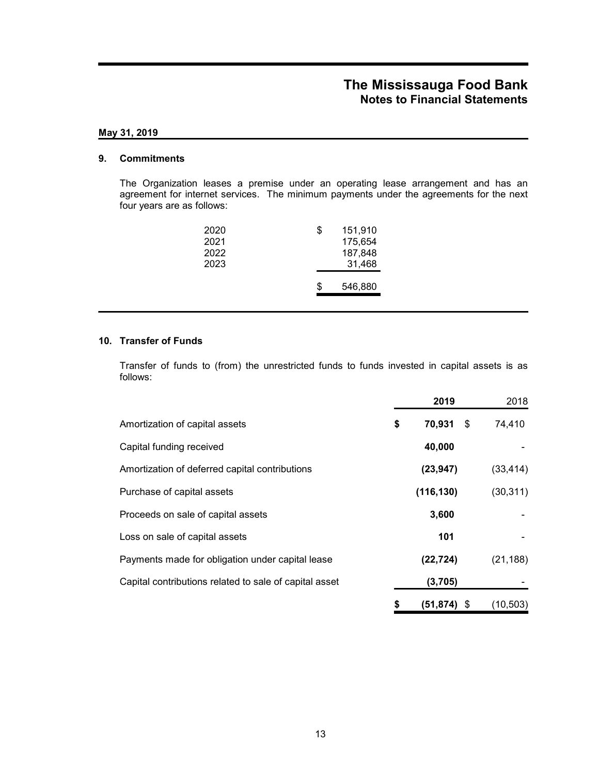### May 31, 2019

### 9. Commitments

The Organization leases a premise under an operating lease arrangement and has an agreement for internet services. The minimum payments under the agreements for the next four years are as follows:

| 2020<br>2021<br>2022<br>2023 | \$<br>151,910<br>175,654<br>187,848<br>31,468 |
|------------------------------|-----------------------------------------------|
|                              | \$<br>546,880                                 |

### 10. Transfer of Funds

Transfer of funds to (from) the unrestricted funds to funds invested in capital assets is as follows:

|                                                        | 2019               | 2018      |
|--------------------------------------------------------|--------------------|-----------|
| Amortization of capital assets                         | \$<br>70,931<br>\$ | 74,410    |
| Capital funding received                               | 40,000             |           |
| Amortization of deferred capital contributions         | (23, 947)          | (33, 414) |
| Purchase of capital assets                             | (116, 130)         | (30, 311) |
| Proceeds on sale of capital assets                     | 3,600              |           |
| Loss on sale of capital assets                         | 101                |           |
| Payments made for obligation under capital lease       | (22, 724)          | (21, 188) |
| Capital contributions related to sale of capital asset | (3,705)            |           |
|                                                        | \$<br>(51,874) \$  | (10, 503) |